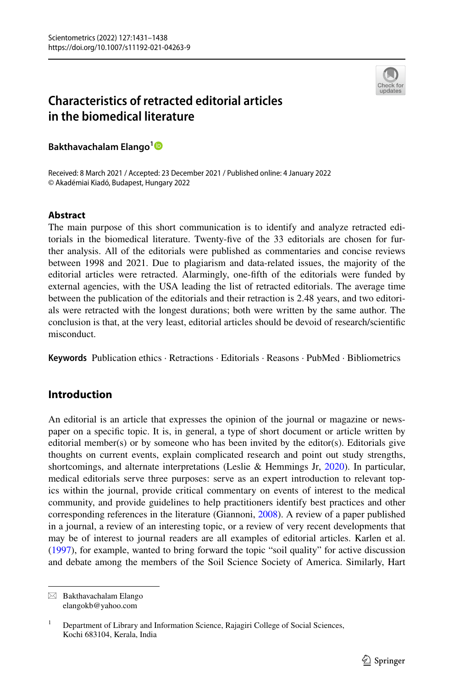

# **Characteristics of retracted editorial articles in the biomedical literature**

**Bakthavachalam Elango[1](http://orcid.org/0000-0002-8938-0155)**

Received: 8 March 2021 / Accepted: 23 December 2021 / Published online: 4 January 2022 © Akadémiai Kiadó, Budapest, Hungary 2022

#### **Abstract**

The main purpose of this short communication is to identify and analyze retracted editorials in the biomedical literature. Twenty-fve of the 33 editorials are chosen for further analysis. All of the editorials were published as commentaries and concise reviews between 1998 and 2021. Due to plagiarism and data-related issues, the majority of the editorial articles were retracted. Alarmingly, one-ffth of the editorials were funded by external agencies, with the USA leading the list of retracted editorials. The average time between the publication of the editorials and their retraction is 2.48 years, and two editorials were retracted with the longest durations; both were written by the same author. The conclusion is that, at the very least, editorial articles should be devoid of research/scientifc misconduct.

**Keywords** Publication ethics · Retractions · Editorials · Reasons · PubMed · Bibliometrics

# **Introduction**

An editorial is an article that expresses the opinion of the journal or magazine or newspaper on a specifc topic. It is, in general, a type of short document or article written by editorial member(s) or by someone who has been invited by the editor(s). Editorials give thoughts on current events, explain complicated research and point out study strengths, shortcomings, and alternate interpretations (Leslie & Hemmings Jr, [2020](#page-7-0)). In particular, medical editorials serve three purposes: serve as an expert introduction to relevant topics within the journal, provide critical commentary on events of interest to the medical community, and provide guidelines to help practitioners identify best practices and other corresponding references in the literature (Giannoni, [2008\)](#page-7-1). A review of a paper published in a journal, a review of an interesting topic, or a review of very recent developments that may be of interest to journal readers are all examples of editorial articles. Karlen et al. ([1997\)](#page-7-2), for example, wanted to bring forward the topic "soil quality" for active discussion and debate among the members of the Soil Science Society of America. Similarly, Hart

 $\boxtimes$  Bakthavachalam Elango elangokb@yahoo.com

<sup>&</sup>lt;sup>1</sup> Department of Library and Information Science, Rajagiri College of Social Sciences, Kochi 683104, Kerala, India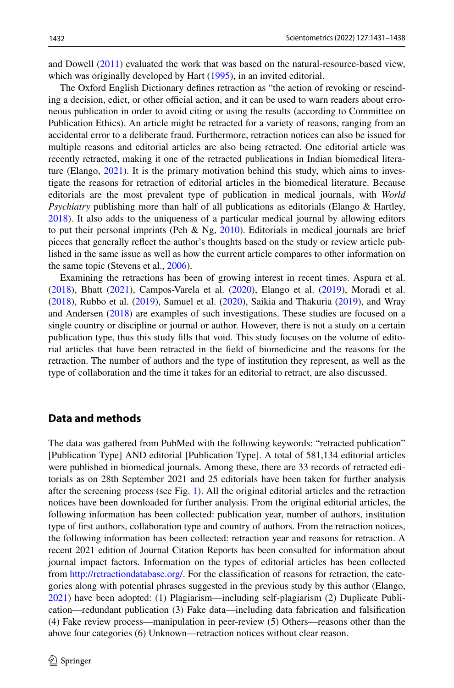and Dowell ([2011\)](#page-7-3) evaluated the work that was based on the natural-resource-based view, which was originally developed by Hart ([1995\)](#page-7-4), in an invited editorial.

The Oxford English Dictionary defnes retraction as "the action of revoking or rescinding a decision, edict, or other official action, and it can be used to warn readers about erroneous publication in order to avoid citing or using the results (according to Committee on Publication Ethics). An article might be retracted for a variety of reasons, ranging from an accidental error to a deliberate fraud. Furthermore, retraction notices can also be issued for multiple reasons and editorial articles are also being retracted. One editorial article was recently retracted, making it one of the retracted publications in Indian biomedical literature (Elango, [2021\)](#page-6-0). It is the primary motivation behind this study, which aims to investigate the reasons for retraction of editorial articles in the biomedical literature. Because editorials are the most prevalent type of publication in medical journals, with *World Psychiatry* publishing more than half of all publications as editorials (Elango & Hartley, [2018\)](#page-6-1). It also adds to the uniqueness of a particular medical journal by allowing editors to put their personal imprints (Peh & Ng,  $2010$ ). Editorials in medical journals are brief pieces that generally refect the author's thoughts based on the study or review article published in the same issue as well as how the current article compares to other information on the same topic (Stevens et al., [2006\)](#page-7-6).

Examining the retractions has been of growing interest in recent times. Aspura et al. ([2018\)](#page-6-2), Bhatt [\(2021](#page-6-3)), Campos-Varela et al. ([2020\)](#page-6-4), Elango et al. ([2019\)](#page-7-7), Moradi et al. ([2018\)](#page-7-8), Rubbo et al. [\(2019](#page-7-9)), Samuel et al. ([2020\)](#page-7-10), Saikia and Thakuria ([2019\)](#page-7-11), and Wray and Andersen [\(2018](#page-7-12)) are examples of such investigations. These studies are focused on a single country or discipline or journal or author. However, there is not a study on a certain publication type, thus this study flls that void. This study focuses on the volume of editorial articles that have been retracted in the feld of biomedicine and the reasons for the retraction. The number of authors and the type of institution they represent, as well as the type of collaboration and the time it takes for an editorial to retract, are also discussed.

#### **Data and methods**

The data was gathered from PubMed with the following keywords: "retracted publication" [Publication Type] AND editorial [Publication Type]. A total of 581,134 editorial articles were published in biomedical journals. Among these, there are 33 records of retracted editorials as on 28th September 2021 and 25 editorials have been taken for further analysis after the screening process (see Fig. [1](#page-2-0)). All the original editorial articles and the retraction notices have been downloaded for further analysis. From the original editorial articles, the following information has been collected: publication year, number of authors, institution type of frst authors, collaboration type and country of authors. From the retraction notices, the following information has been collected: retraction year and reasons for retraction. A recent 2021 edition of Journal Citation Reports has been consulted for information about journal impact factors. Information on the types of editorial articles has been collected from <http://retractiondatabase.org/>. For the classification of reasons for retraction, the categories along with potential phrases suggested in the previous study by this author (Elango, [2021\)](#page-6-0) have been adopted: (1) Plagiarism—including self-plagiarism (2) Duplicate Publication—redundant publication (3) Fake data—including data fabrication and falsifcation (4) Fake review process—manipulation in peer-review (5) Others—reasons other than the above four categories (6) Unknown—retraction notices without clear reason.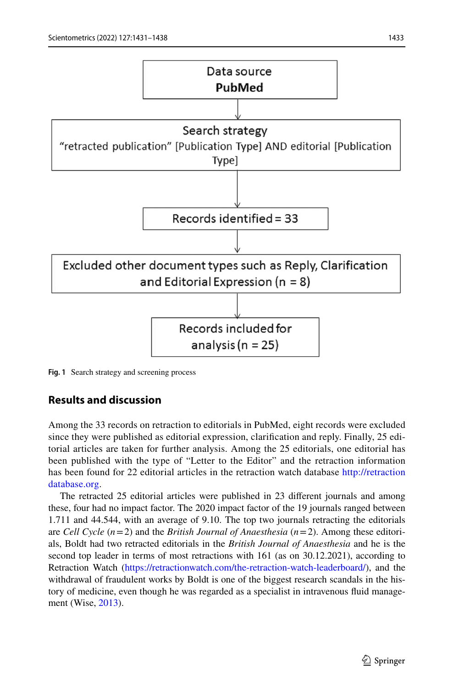

<span id="page-2-0"></span>**Fig. 1** Search strategy and screening process

# **Results and discussion**

Among the 33 records on retraction to editorials in PubMed, eight records were excluded since they were published as editorial expression, clarifcation and reply. Finally, 25 editorial articles are taken for further analysis. Among the 25 editorials, one editorial has been published with the type of "Letter to the Editor" and the retraction information has been found for 22 editorial articles in the retraction watch database [http://retraction](http://retractiondatabase.org) [database.org](http://retractiondatabase.org).

The retracted 25 editorial articles were published in 23 diferent journals and among these, four had no impact factor. The 2020 impact factor of the 19 journals ranged between 1.711 and 44.544, with an average of 9.10. The top two journals retracting the editorials are *Cell Cycle* (*n*=2) and the *British Journal of Anaesthesia* (*n*=2). Among these editorials, Boldt had two retracted editorials in the *British Journal of Anaesthesia* and he is the second top leader in terms of most retractions with 161 (as on 30.12.2021), according to Retraction Watch (<https://retractionwatch.com/the-retraction-watch-leaderboard/>), and the withdrawal of fraudulent works by Boldt is one of the biggest research scandals in the history of medicine, even though he was regarded as a specialist in intravenous fuid management (Wise, [2013](#page-7-13)).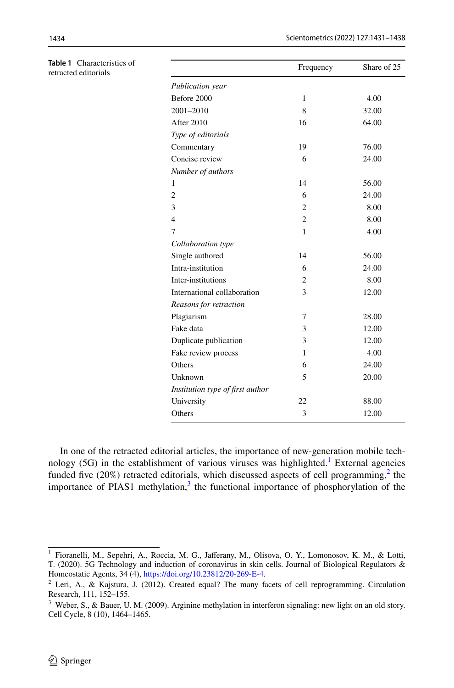<span id="page-3-3"></span>

| Table 1 Characteristics of<br>retracted editorials |                                  | Frequency      | Share of 25 |
|----------------------------------------------------|----------------------------------|----------------|-------------|
|                                                    | Publication year                 |                |             |
|                                                    | Before 2000                      | $\mathbf{1}$   | 4.00        |
|                                                    |                                  |                |             |
|                                                    | 2001-2010                        | 8              | 32.00       |
|                                                    | After 2010                       | 16             | 64.00       |
|                                                    | Type of editorials               |                |             |
|                                                    | Commentary                       | 19             | 76.00       |
|                                                    | Concise review                   | 6              | 24.00       |
|                                                    | Number of authors                |                |             |
|                                                    | 1                                | 14             | 56.00       |
|                                                    | $\boldsymbol{2}$                 | 6              | 24.00       |
|                                                    | 3                                | $\overline{c}$ | 8.00        |
|                                                    | $\overline{4}$                   | $\mathfrak{2}$ | 8.00        |
|                                                    | 7                                | 1              | 4.00        |
|                                                    | Collaboration type               |                |             |
|                                                    | Single authored                  | 14             | 56.00       |
|                                                    | Intra-institution                | 6              | 24.00       |
|                                                    | Inter-institutions               | 2              | 8.00        |
|                                                    | International collaboration      | 3              | 12.00       |
|                                                    | Reasons for retraction           |                |             |
|                                                    | Plagiarism                       | 7              | 28.00       |
|                                                    | Fake data                        | 3              | 12.00       |
|                                                    | Duplicate publication            | 3              | 12.00       |
|                                                    | Fake review process              | 1              | 4.00        |
|                                                    | Others                           | 6              | 24.00       |
|                                                    | Unknown                          | 5              | 20.00       |
|                                                    | Institution type of first author |                |             |
|                                                    | University                       | 22             | 88.00       |
|                                                    | Others                           | 3              | 12.00       |
|                                                    |                                  |                |             |

In one of the retracted editorial articles, the importance of new-generation mobile technology  $(5G)$  in the establishment of various viruses was highlighted.<sup>[1](#page-3-0)</sup> External agencies funded five  $(20\%)$  $(20\%)$  $(20\%)$  retracted editorials, which discussed aspects of cell programming,<sup>2</sup> the importance of PIAS1 methylation, $3$  the functional importance of phosphorylation of the

<span id="page-3-0"></span><sup>1</sup> Fioranelli, M., Sepehri, A., Roccia, M. G., Jaferany, M., Olisova, O. Y., Lomonosov, K. M., & Lotti, T. (2020). 5G Technology and induction of coronavirus in skin cells. Journal of Biological Regulators & Homeostatic Agents, 34 (4),<https://doi.org/10.23812/20-269-E-4>.

<span id="page-3-1"></span><sup>2</sup> Leri, A., & Kajstura, J. (2012). Created equal? The many facets of cell reprogramming. Circulation Research, 111, 152–155.

<span id="page-3-2"></span><sup>3</sup> Weber, S., & Bauer, U. M. (2009). Arginine methylation in interferon signaling: new light on an old story. Cell Cycle, 8 (10), 1464–1465.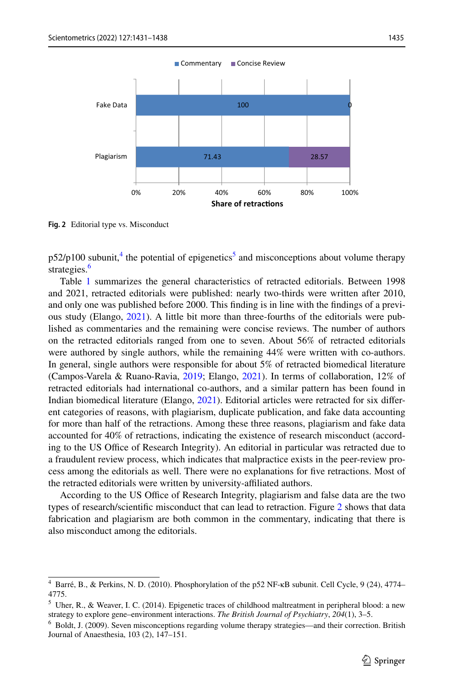

<span id="page-4-3"></span>**Fig. 2** Editorial type vs. Misconduct

 $p52/p100$  $p52/p100$  $p52/p100$  subunit,<sup>[4](#page-4-0)</sup> the potential of epigenetics<sup>5</sup> and misconceptions about volume therapy strategies.<sup>[6](#page-4-2)</sup>

Table [1](#page-3-3) summarizes the general characteristics of retracted editorials. Between 1998 and 2021, retracted editorials were published: nearly two-thirds were written after 2010, and only one was published before 2000. This fnding is in line with the fndings of a previous study (Elango, [2021\)](#page-6-0). A little bit more than three-fourths of the editorials were published as commentaries and the remaining were concise reviews. The number of authors on the retracted editorials ranged from one to seven. About 56% of retracted editorials were authored by single authors, while the remaining 44% were written with co-authors. In general, single authors were responsible for about 5% of retracted biomedical literature (Campos-Varela & Ruano-Ravia, [2019](#page-6-5); Elango, [2021\)](#page-6-0). In terms of collaboration, 12% of retracted editorials had international co-authors, and a similar pattern has been found in Indian biomedical literature (Elango, [2021](#page-6-0)). Editorial articles were retracted for six diferent categories of reasons, with plagiarism, duplicate publication, and fake data accounting for more than half of the retractions. Among these three reasons, plagiarism and fake data accounted for 40% of retractions, indicating the existence of research misconduct (according to the US Office of Research Integrity). An editorial in particular was retracted due to a fraudulent review process, which indicates that malpractice exists in the peer-review process among the editorials as well. There were no explanations for fve retractions. Most of the retracted editorials were written by university-afliated authors.

According to the US Office of Research Integrity, plagiarism and false data are the two types of research/scientifc misconduct that can lead to retraction. Figure [2](#page-4-3) shows that data fabrication and plagiarism are both common in the commentary, indicating that there is also misconduct among the editorials.

<span id="page-4-0"></span><sup>4</sup> Barré, B., & Perkins, N. D. (2010). Phosphorylation of the p52 NF-κB subunit. Cell Cycle, 9 (24), 4774– 4775.

<span id="page-4-1"></span> $<sup>5</sup>$  Uher, R., & Weaver, I. C. (2014). Epigenetic traces of childhood maltreatment in peripheral blood: a new</sup> strategy to explore gene–environment interactions. *The British Journal of Psychiatry*, *204*(1), 3–5.

<span id="page-4-2"></span><sup>6</sup> Boldt, J. (2009). Seven misconceptions regarding volume therapy strategies—and their correction. British Journal of Anaesthesia, 103 (2), 147–151.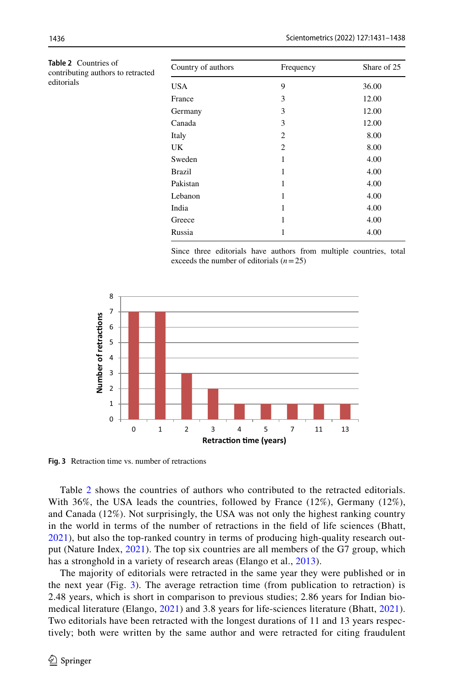| 9<br>3         | 36.00 |
|----------------|-------|
|                |       |
|                | 12.00 |
|                | 12.00 |
| 3              | 12.00 |
| $\overline{c}$ | 8.00  |
| $\overline{c}$ | 8.00  |
| 1              | 4.00  |
| 1              | 4.00  |
| 1              | 4.00  |
| 1              | 4.00  |
| 1              | 4.00  |
| 1              | 4.00  |
|                | 4.00  |
|                | 3     |

Since three editorials have authors from multiple countries, total exceeds the number of editorials (*n*=25)



<span id="page-5-1"></span>**Fig. 3** Retraction time vs. number of retractions

Table [2](#page-5-0) shows the countries of authors who contributed to the retracted editorials. With 36%, the USA leads the countries, followed by France  $(12\%)$ , Germany  $(12\%)$ , and Canada (12%). Not surprisingly, the USA was not only the highest ranking country in the world in terms of the number of retractions in the feld of life sciences (Bhatt, [2021](#page-6-3)), but also the top-ranked country in terms of producing high-quality research output (Nature Index, [2021](#page-7-14)). The top six countries are all members of the G7 group, which has a stronghold in a variety of research areas (Elango et al., [2013\)](#page-7-15).

The majority of editorials were retracted in the same year they were published or in the next year (Fig. [3](#page-5-1)). The average retraction time (from publication to retraction) is 2.48 years, which is short in comparison to previous studies; 2.86 years for Indian biomedical literature (Elango, [2021](#page-6-0)) and 3.8 years for life-sciences literature (Bhatt, [2021\)](#page-6-3). Two editorials have been retracted with the longest durations of 11 and 13 years respectively; both were written by the same author and were retracted for citing fraudulent

editorials

<span id="page-5-0"></span>**Table 2** Countries of contributing authors to retrac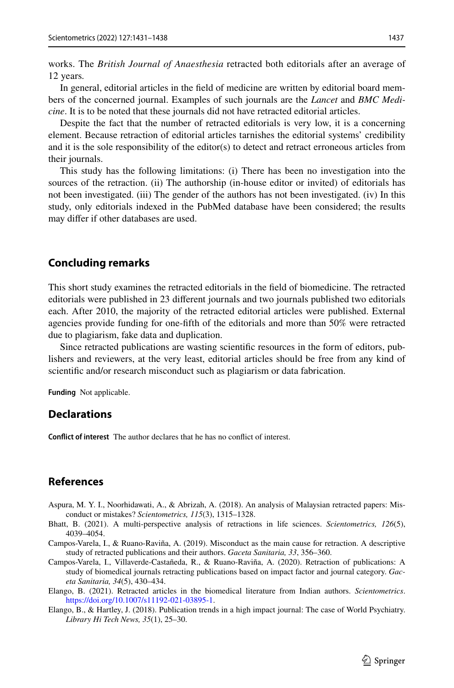works. The *British Journal of Anaesthesia* retracted both editorials after an average of 12 years*.*

In general, editorial articles in the feld of medicine are written by editorial board members of the concerned journal. Examples of such journals are the *Lancet* and *BMC Medicine*. It is to be noted that these journals did not have retracted editorial articles.

Despite the fact that the number of retracted editorials is very low, it is a concerning element. Because retraction of editorial articles tarnishes the editorial systems' credibility and it is the sole responsibility of the editor(s) to detect and retract erroneous articles from their journals.

This study has the following limitations: (i) There has been no investigation into the sources of the retraction. (ii) The authorship (in-house editor or invited) of editorials has not been investigated. (iii) The gender of the authors has not been investigated. (iv) In this study, only editorials indexed in the PubMed database have been considered; the results may difer if other databases are used.

#### **Concluding remarks**

This short study examines the retracted editorials in the feld of biomedicine. The retracted editorials were published in 23 diferent journals and two journals published two editorials each. After 2010, the majority of the retracted editorial articles were published. External agencies provide funding for one-ffth of the editorials and more than 50% were retracted due to plagiarism, fake data and duplication.

Since retracted publications are wasting scientifc resources in the form of editors, publishers and reviewers, at the very least, editorial articles should be free from any kind of scientifc and/or research misconduct such as plagiarism or data fabrication.

**Funding** Not applicable.

### **Declarations**

**Confict of interest** The author declares that he has no confict of interest.

## **References**

- <span id="page-6-2"></span>Aspura, M. Y. I., Noorhidawati, A., & Abrizah, A. (2018). An analysis of Malaysian retracted papers: Misconduct or mistakes? *Scientometrics, 115*(3), 1315–1328.
- <span id="page-6-3"></span>Bhatt, B. (2021). A multi-perspective analysis of retractions in life sciences. *Scientometrics, 126*(5), 4039–4054.
- <span id="page-6-5"></span>Campos-Varela, I., & Ruano-Raviña, A. (2019). Misconduct as the main cause for retraction. A descriptive study of retracted publications and their authors. *Gaceta Sanitaria, 33*, 356–360.
- <span id="page-6-4"></span>Campos-Varela, I., Villaverde-Castañeda, R., & Ruano-Raviña, A. (2020). Retraction of publications: A study of biomedical journals retracting publications based on impact factor and journal category. *Gaceta Sanitaria, 34*(5), 430–434.

<span id="page-6-0"></span>Elango, B. (2021). Retracted articles in the biomedical literature from Indian authors. *Scientometrics*. <https://doi.org/10.1007/s11192-021-03895-1>.

<span id="page-6-1"></span>Elango, B., & Hartley, J. (2018). Publication trends in a high impact journal: The case of World Psychiatry. *Library Hi Tech News, 35*(1), 25–30.